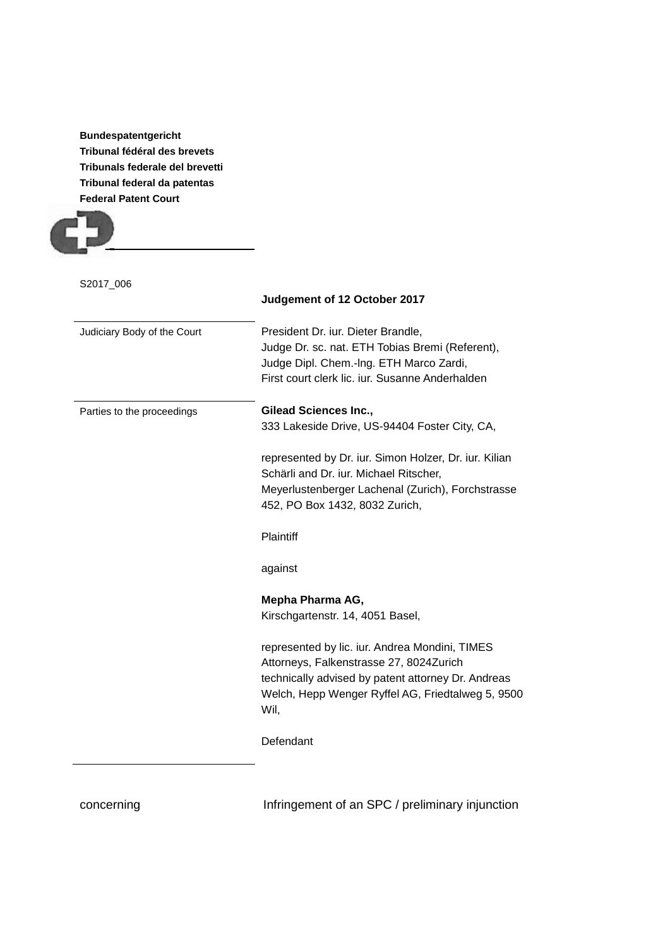**Bundespatentgericht Tribunal fédéral des brevets Tribunals federale del brevetti Tribunal federal da patentas Federal Patent Court**



S2017\_006 **Judgement of 12 October 2017** Judiciary Body of the Court President Dr. iur. Dieter Brandle, Judge Dr. sc. nat. ETH Tobias Bremi (Referent), Judge Dipl. Chem.-lng. ETH Marco Zardi, First court clerk lic. iur. Susanne Anderhalden Parties to the proceedings **Gilead Sciences Inc.,** 333 Lakeside Drive, US-94404 Foster City, CA, represented by Dr. iur. Simon Holzer, Dr. iur. Kilian Schärli and Dr. iur. Michael Ritscher, Meyerlustenberger Lachenal (Zurich), Forchstrasse 452, PO Box 1432, 8032 Zurich, **Plaintiff** against **Mepha Pharma AG,**  Kirschgartenstr. 14, 4051 Basel, represented by lic. iur. Andrea Mondini, TIMES Attorneys, Falkenstrasse 27, 8024Zurich technically advised by patent attorney Dr. Andreas Welch, Hepp Wenger Ryffel AG, Friedtalweg 5, 9500 Wil, Defendant

concerning **Infringement of an SPC** / preliminary injunction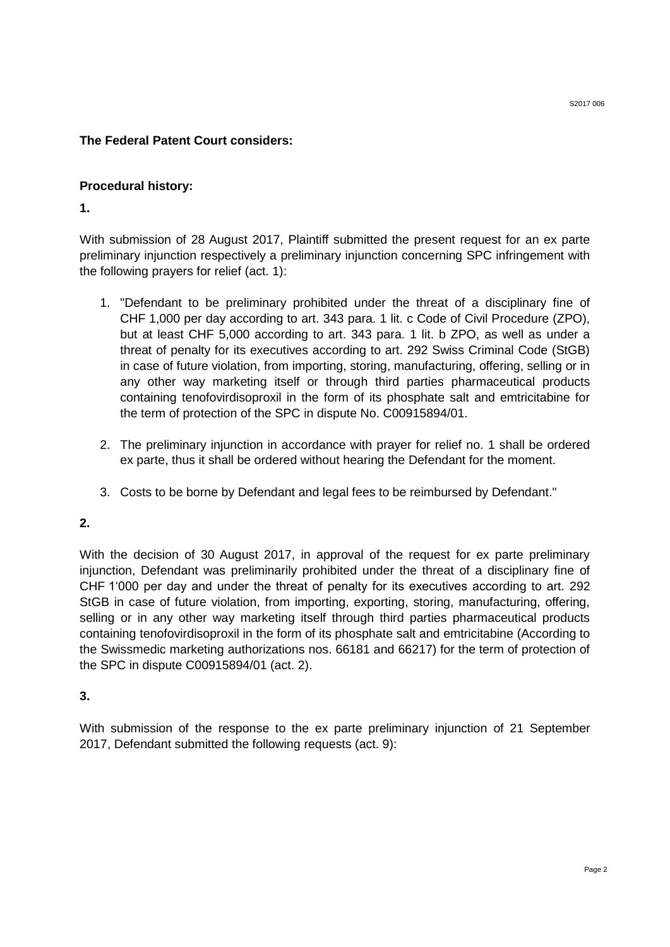#### **The Federal Patent Court considers:**

#### **Procedural history:**

**1.**

With submission of 28 August 2017, Plaintiff submitted the present request for an ex parte preliminary injunction respectively a preliminary injunction concerning SPC infringement with the following prayers for relief (act. 1):

- 1. "Defendant to be preliminary prohibited under the threat of a disciplinary fine of CHF 1,000 per day according to art. 343 para. 1 lit. c Code of Civil Procedure (ZPO), but at least CHF 5,000 according to art. 343 para. 1 lit. b ZPO, as well as under a threat of penalty for its executives according to art. 292 Swiss Criminal Code (StGB) in case of future violation, from importing, storing, manufacturing, offering, selling or in any other way marketing itself or through third parties pharmaceutical products containing tenofovirdisoproxil in the form of its phosphate salt and emtricitabine for the term of protection of the SPC in dispute No. C00915894/01.
- 2. The preliminary injunction in accordance with prayer for relief no. 1 shall be ordered ex parte, thus it shall be ordered without hearing the Defendant for the moment.
- 3. Costs to be borne by Defendant and legal fees to be reimbursed by Defendant."

## **2.**

With the decision of 30 August 2017, in approval of the request for ex parte preliminary injunction, Defendant was preliminarily prohibited under the threat of a disciplinary fine of CHF 1'000 per day and under the threat of penalty for its executives according to art. 292 StGB in case of future violation, from importing, exporting, storing, manufacturing, offering, selling or in any other way marketing itself through third parties pharmaceutical products containing tenofovirdisoproxil in the form of its phosphate salt and emtricitabine (According to the Swissmedic marketing authorizations nos. 66181 and 66217) for the term of protection of the SPC in dispute C00915894/01 (act. 2).

# **3.**

With submission of the response to the ex parte preliminary injunction of 21 September 2017, Defendant submitted the following requests (act. 9):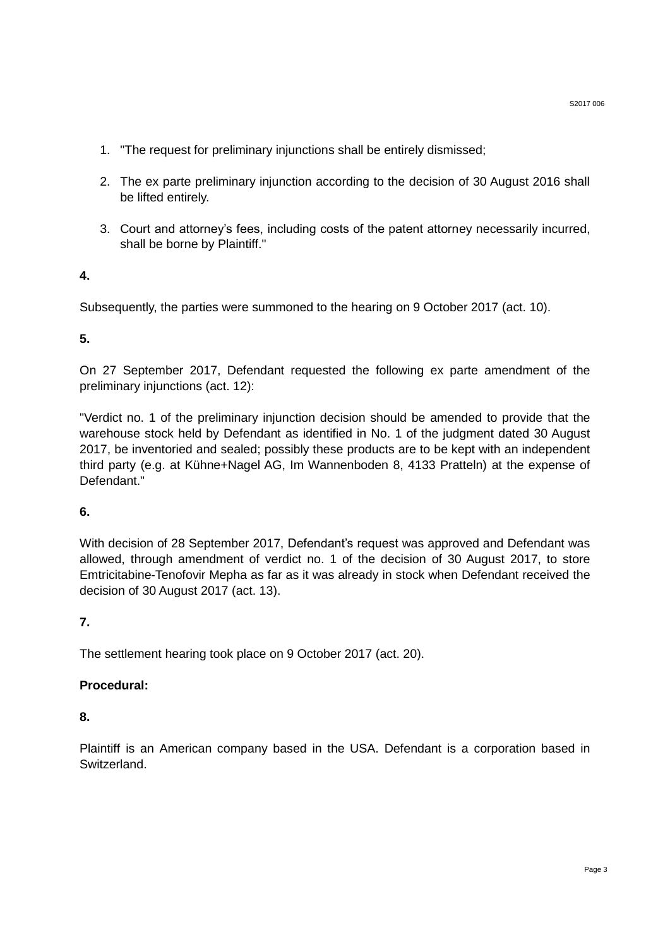- 1. "The request for preliminary injunctions shall be entirely dismissed;
- 2. The ex parte preliminary injunction according to the decision of 30 August 2016 shall be lifted entirely.
- 3. Court and attorney's fees, including costs of the patent attorney necessarily incurred, shall be borne by Plaintiff."

Subsequently, the parties were summoned to the hearing on 9 October 2017 (act. 10).

# **5.**

On 27 September 2017, Defendant requested the following ex parte amendment of the preliminary injunctions (act. 12):

"Verdict no. 1 of the preliminary injunction decision should be amended to provide that the warehouse stock held by Defendant as identified in No. 1 of the judgment dated 30 August 2017, be inventoried and sealed; possibly these products are to be kept with an independent third party (e.g. at Kühne+Nagel AG, Im Wannenboden 8, 4133 Pratteln) at the expense of Defendant."

# **6.**

With decision of 28 September 2017, Defendant's request was approved and Defendant was allowed, through amendment of verdict no. 1 of the decision of 30 August 2017, to store Emtricitabine-Tenofovir Mepha as far as it was already in stock when Defendant received the decision of 30 August 2017 (act. 13).

# **7.**

The settlement hearing took place on 9 October 2017 (act. 20).

# **Procedural:**

# **8.**

Plaintiff is an American company based in the USA. Defendant is a corporation based in Switzerland.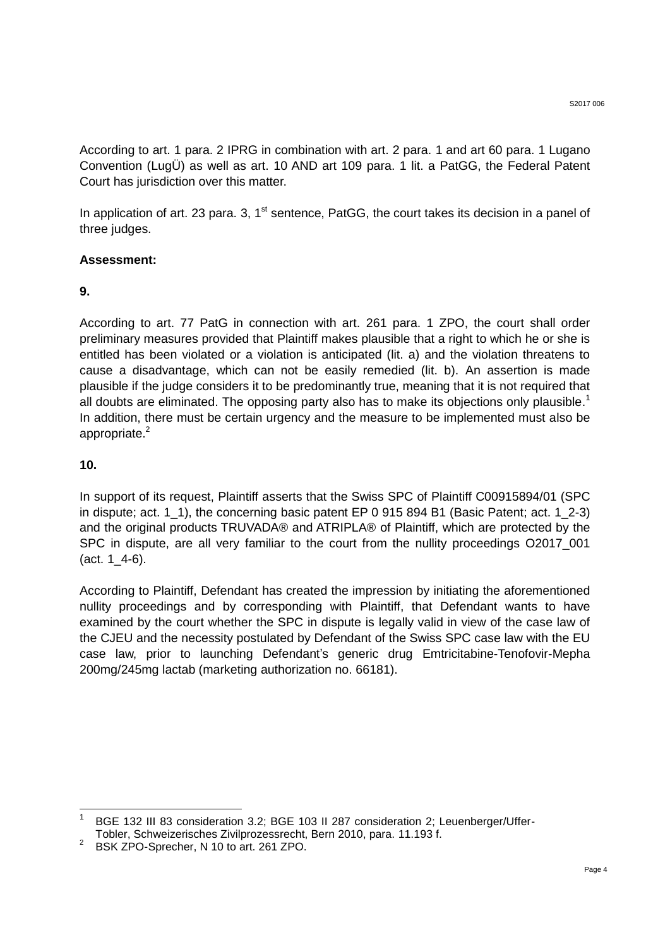According to art. 1 para. 2 IPRG in combination with art. 2 para. 1 and art 60 para. 1 Lugano Convention (LugÜ) as well as art. 10 AND art 109 para. 1 lit. a PatGG, the Federal Patent Court has jurisdiction over this matter.

In application of art. 23 para. 3,  $1<sup>st</sup>$  sentence, PatGG, the court takes its decision in a panel of three judges.

# **Assessment:**

#### **9.**

According to art. 77 PatG in connection with art. 261 para. 1 ZPO, the court shall order preliminary measures provided that Plaintiff makes plausible that a right to which he or she is entitled has been violated or a violation is anticipated (lit. a) and the violation threatens to cause a disadvantage, which can not be easily remedied (lit. b). An assertion is made plausible if the judge considers it to be predominantly true, meaning that it is not required that all doubts are eliminated. The opposing party also has to make its objections only plausible.<sup>1</sup> In addition, there must be certain urgency and the measure to be implemented must also be appropriate. 2

# **10.**

 $\overline{\phantom{a}}$ 

In support of its request, Plaintiff asserts that the Swiss SPC of Plaintiff C00915894/01 (SPC in dispute; act. 1\_1), the concerning basic patent EP 0 915 894 B1 (Basic Patent; act. 1\_2-3) and the original products TRUVADA® and ATRIPLA® of Plaintiff, which are protected by the SPC in dispute, are all very familiar to the court from the nullity proceedings O2017\_001  $(act. 1_4-6).$ 

According to Plaintiff, Defendant has created the impression by initiating the aforementioned nullity proceedings and by corresponding with Plaintiff, that Defendant wants to have examined by the court whether the SPC in dispute is legally valid in view of the case law of the CJEU and the necessity postulated by Defendant of the Swiss SPC case law with the EU case law, prior to launching Defendant's generic drug Emtricitabine-Tenofovir-Mepha 200mg/245mg lactab (marketing authorization no. 66181).

<sup>1</sup> BGE 132 III 83 consideration 3.2; BGE 103 II 287 consideration 2; Leuenberger/Uffer-Tobler, Schweizerisches Zivilprozessrecht, Bern 2010, para. 11.193 f.

<sup>2</sup> BSK ZPO-Sprecher, N 10 to art. 261 ZPO.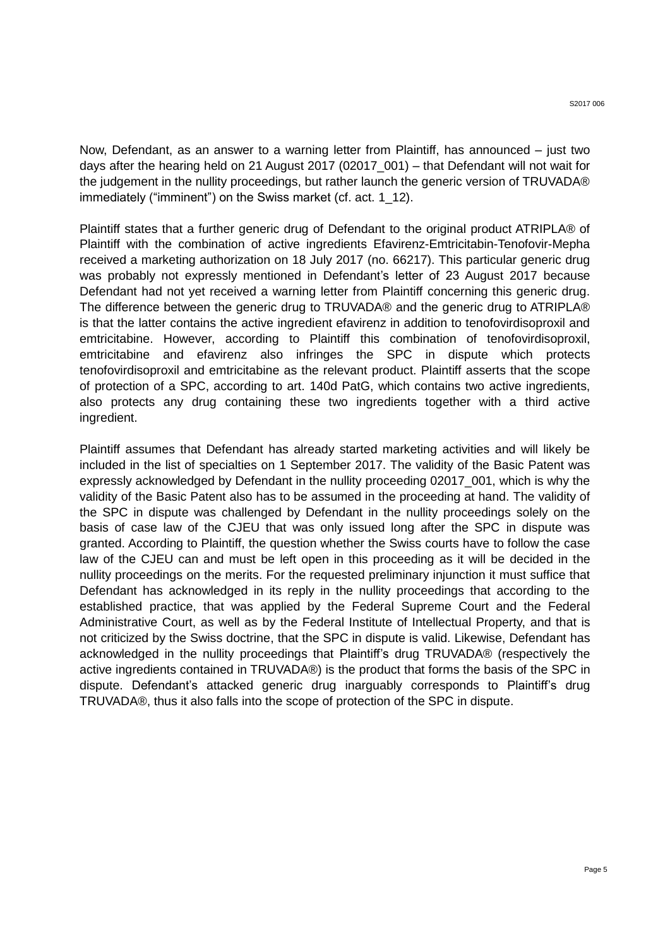Now, Defendant, as an answer to a warning letter from Plaintiff, has announced – just two days after the hearing held on 21 August 2017 (02017\_001) – that Defendant will not wait for the judgement in the nullity proceedings, but rather launch the generic version of TRUVADA® immediately ("imminent") on the Swiss market (cf. act. 1\_12).

Plaintiff states that a further generic drug of Defendant to the original product ATRIPLA® of Plaintiff with the combination of active ingredients Efavirenz-Emtricitabin-Tenofovir-Mepha received a marketing authorization on 18 July 2017 (no. 66217). This particular generic drug was probably not expressly mentioned in Defendant's letter of 23 August 2017 because Defendant had not yet received a warning letter from Plaintiff concerning this generic drug. The difference between the generic drug to TRUVADA® and the generic drug to ATRIPLA® is that the latter contains the active ingredient efavirenz in addition to tenofovirdisoproxil and emtricitabine. However, according to Plaintiff this combination of tenofovirdisoproxil, emtricitabine and efavirenz also infringes the SPC in dispute which protects tenofovirdisoproxil and emtricitabine as the relevant product. Plaintiff asserts that the scope of protection of a SPC, according to art. 140d PatG, which contains two active ingredients, also protects any drug containing these two ingredients together with a third active ingredient.

Plaintiff assumes that Defendant has already started marketing activities and will likely be included in the list of specialties on 1 September 2017. The validity of the Basic Patent was expressly acknowledged by Defendant in the nullity proceeding 02017\_001, which is why the validity of the Basic Patent also has to be assumed in the proceeding at hand. The validity of the SPC in dispute was challenged by Defendant in the nullity proceedings solely on the basis of case law of the CJEU that was only issued long after the SPC in dispute was granted. According to Plaintiff, the question whether the Swiss courts have to follow the case law of the CJEU can and must be left open in this proceeding as it will be decided in the nullity proceedings on the merits. For the requested preliminary injunction it must suffice that Defendant has acknowledged in its reply in the nullity proceedings that according to the established practice, that was applied by the Federal Supreme Court and the Federal Administrative Court, as well as by the Federal Institute of Intellectual Property, and that is not criticized by the Swiss doctrine, that the SPC in dispute is valid. Likewise, Defendant has acknowledged in the nullity proceedings that Plaintiff's drug TRUVADA® (respectively the active ingredients contained in TRUVADA®) is the product that forms the basis of the SPC in dispute. Defendant's attacked generic drug inarguably corresponds to Plaintiff's drug TRUVADA®, thus it also falls into the scope of protection of the SPC in dispute.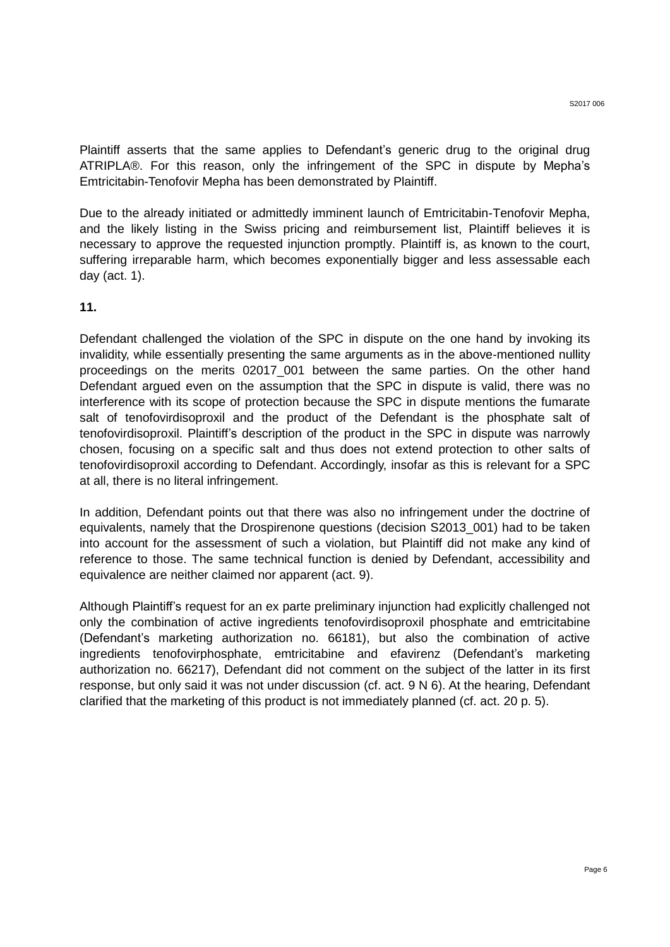Plaintiff asserts that the same applies to Defendant's generic drug to the original drug ATRIPLA®. For this reason, only the infringement of the SPC in dispute by Mepha's Emtricitabin-Tenofovir Mepha has been demonstrated by Plaintiff.

Due to the already initiated or admittedly imminent launch of Emtricitabin-Tenofovir Mepha, and the likely listing in the Swiss pricing and reimbursement list, Plaintiff believes it is necessary to approve the requested injunction promptly. Plaintiff is, as known to the court, suffering irreparable harm, which becomes exponentially bigger and less assessable each day (act. 1).

#### **11.**

Defendant challenged the violation of the SPC in dispute on the one hand by invoking its invalidity, while essentially presenting the same arguments as in the above-mentioned nullity proceedings on the merits 02017 001 between the same parties. On the other hand Defendant argued even on the assumption that the SPC in dispute is valid, there was no interference with its scope of protection because the SPC in dispute mentions the fumarate salt of tenofovirdisoproxil and the product of the Defendant is the phosphate salt of tenofovirdisoproxil. Plaintiff's description of the product in the SPC in dispute was narrowly chosen, focusing on a specific salt and thus does not extend protection to other salts of tenofovirdisoproxil according to Defendant. Accordingly, insofar as this is relevant for a SPC at all, there is no literal infringement.

In addition, Defendant points out that there was also no infringement under the doctrine of equivalents, namely that the Drospirenone questions (decision S2013\_001) had to be taken into account for the assessment of such a violation, but Plaintiff did not make any kind of reference to those. The same technical function is denied by Defendant, accessibility and equivalence are neither claimed nor apparent (act. 9).

Although Plaintiff's request for an ex parte preliminary injunction had explicitly challenged not only the combination of active ingredients tenofovirdisoproxil phosphate and emtricitabine (Defendant's marketing authorization no. 66181), but also the combination of active ingredients tenofovirphosphate, emtricitabine and efavirenz (Defendant's marketing authorization no. 66217), Defendant did not comment on the subject of the latter in its first response, but only said it was not under discussion (cf. act. 9 N 6). At the hearing, Defendant clarified that the marketing of this product is not immediately planned (cf. act. 20 p. 5).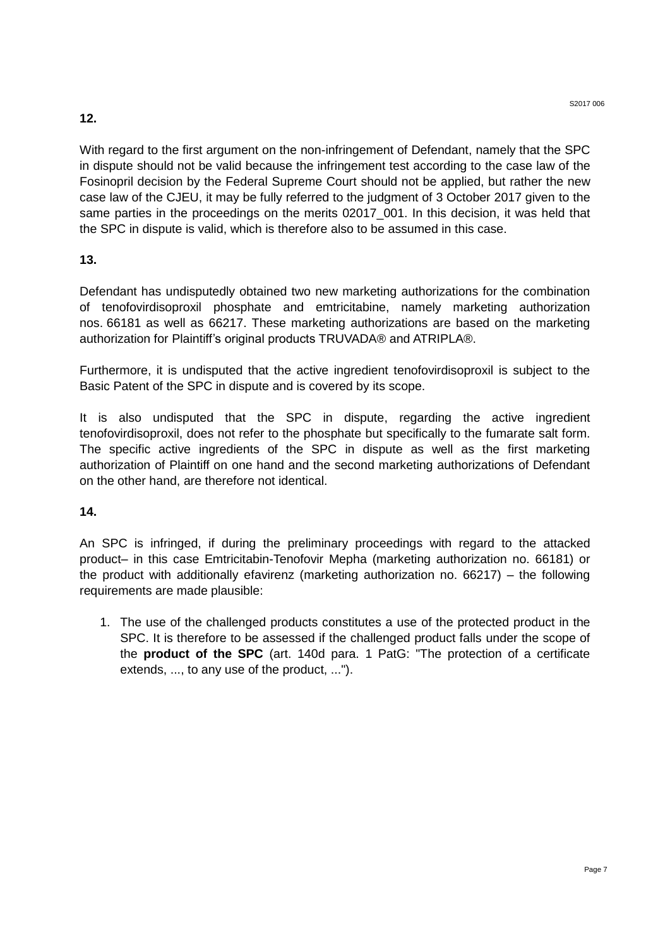With regard to the first argument on the non-infringement of Defendant, namely that the SPC in dispute should not be valid because the infringement test according to the case law of the Fosinopril decision by the Federal Supreme Court should not be applied, but rather the new case law of the CJEU, it may be fully referred to the judgment of 3 October 2017 given to the same parties in the proceedings on the merits 02017\_001. In this decision, it was held that the SPC in dispute is valid, which is therefore also to be assumed in this case.

# **13.**

Defendant has undisputedly obtained two new marketing authorizations for the combination of tenofovirdisoproxil phosphate and emtricitabine, namely marketing authorization nos. 66181 as well as 66217. These marketing authorizations are based on the marketing authorization for Plaintiff's original products TRUVADA® and ATRIPLA®.

Furthermore, it is undisputed that the active ingredient tenofovirdisoproxil is subject to the Basic Patent of the SPC in dispute and is covered by its scope.

It is also undisputed that the SPC in dispute, regarding the active ingredient tenofovirdisoproxil, does not refer to the phosphate but specifically to the fumarate salt form. The specific active ingredients of the SPC in dispute as well as the first marketing authorization of Plaintiff on one hand and the second marketing authorizations of Defendant on the other hand, are therefore not identical.

# **14.**

An SPC is infringed, if during the preliminary proceedings with regard to the attacked product– in this case Emtricitabin-Tenofovir Mepha (marketing authorization no. 66181) or the product with additionally efavirenz (marketing authorization no. 66217) – the following requirements are made plausible:

1. The use of the challenged products constitutes a use of the protected product in the SPC. It is therefore to be assessed if the challenged product falls under the scope of the **product of the SPC** (art. 140d para. 1 PatG: "The protection of a certificate extends, ..., to any use of the product, ...").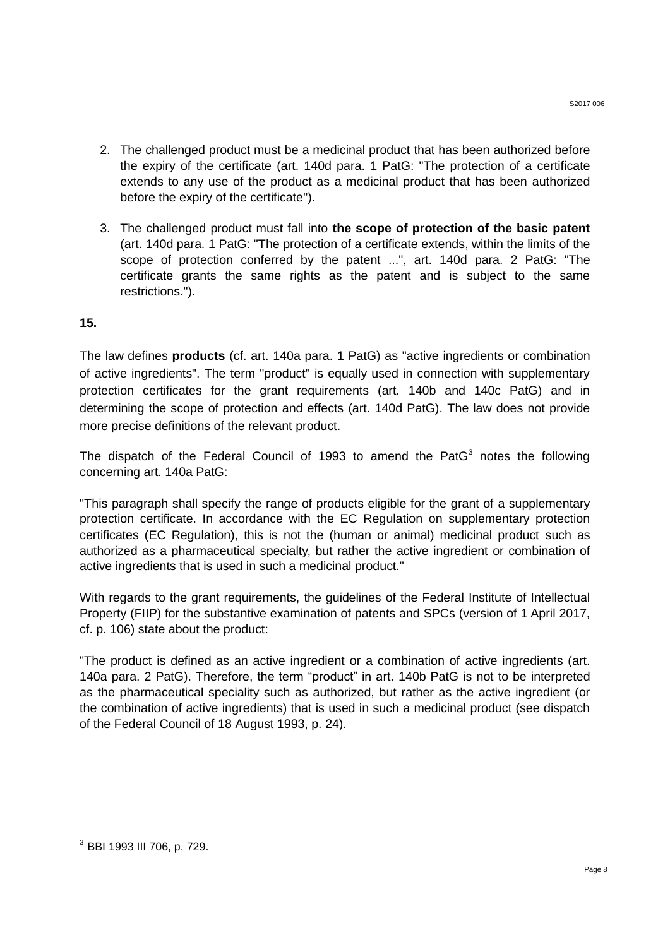- 2. The challenged product must be a medicinal product that has been authorized before the expiry of the certificate (art. 140d para. 1 PatG: "The protection of a certificate extends to any use of the product as a medicinal product that has been authorized before the expiry of the certificate").
- 3. The challenged product must fall into **the scope of protection of the basic patent** (art. 140d para. 1 PatG: "The protection of a certificate extends, within the limits of the scope of protection conferred by the patent ...", art. 140d para. 2 PatG: "The certificate grants the same rights as the patent and is subject to the same restrictions.").

The law defines **products** (cf. art. 140a para. 1 PatG) as "active ingredients or combination of active ingredients". The term "product" is equally used in connection with supplementary protection certificates for the grant requirements (art. 140b and 140c PatG) and in determining the scope of protection and effects (art. 140d PatG). The law does not provide more precise definitions of the relevant product.

The dispatch of the Federal Council of 1993 to amend the Pat $G<sup>3</sup>$  notes the following concerning art. 140a PatG:

"This paragraph shall specify the range of products eligible for the grant of a supplementary protection certificate. In accordance with the EC Regulation on supplementary protection certificates (EC Regulation), this is not the (human or animal) medicinal product such as authorized as a pharmaceutical specialty, but rather the active ingredient or combination of active ingredients that is used in such a medicinal product."

With regards to the grant requirements, the guidelines of the Federal Institute of Intellectual Property (FIIP) for the substantive examination of patents and SPCs (version of 1 April 2017, cf. p. 106) state about the product:

"The product is defined as an active ingredient or a combination of active ingredients (art. 140a para. 2 PatG). Therefore, the term "product" in art. 140b PatG is not to be interpreted as the pharmaceutical speciality such as authorized, but rather as the active ingredient (or the combination of active ingredients) that is used in such a medicinal product (see dispatch of the Federal Council of 18 August 1993, p. 24).

 3 BBI 1993 III 706, p. 729.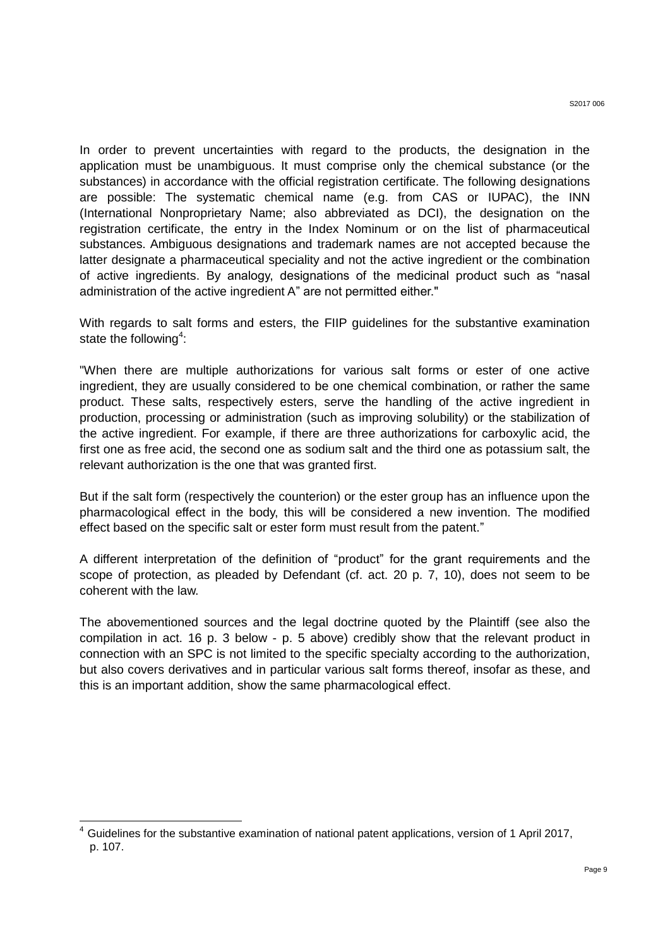In order to prevent uncertainties with regard to the products, the designation in the application must be unambiguous. It must comprise only the chemical substance (or the substances) in accordance with the official registration certificate. The following designations are possible: The systematic chemical name (e.g. from CAS or IUPAC), the INN (International Nonproprietary Name; also abbreviated as DCI), the designation on the registration certificate, the entry in the Index Nominum or on the list of pharmaceutical substances. Ambiguous designations and trademark names are not accepted because the latter designate a pharmaceutical speciality and not the active ingredient or the combination of active ingredients. By analogy, designations of the medicinal product such as "nasal administration of the active ingredient A" are not permitted either."

With regards to salt forms and esters, the FIIP guidelines for the substantive examination state the following<sup>4</sup>:

"When there are multiple authorizations for various salt forms or ester of one active ingredient, they are usually considered to be one chemical combination, or rather the same product. These salts, respectively esters, serve the handling of the active ingredient in production, processing or administration (such as improving solubility) or the stabilization of the active ingredient. For example, if there are three authorizations for carboxylic acid, the first one as free acid, the second one as sodium salt and the third one as potassium salt, the relevant authorization is the one that was granted first.

But if the salt form (respectively the counterion) or the ester group has an influence upon the pharmacological effect in the body, this will be considered a new invention. The modified effect based on the specific salt or ester form must result from the patent."

A different interpretation of the definition of "product" for the grant requirements and the scope of protection, as pleaded by Defendant (cf. act. 20 p. 7, 10), does not seem to be coherent with the law.

The abovementioned sources and the legal doctrine quoted by the Plaintiff (see also the compilation in act. 16 p. 3 below - p. 5 above) credibly show that the relevant product in connection with an SPC is not limited to the specific specialty according to the authorization, but also covers derivatives and in particular various salt forms thereof, insofar as these, and this is an important addition, show the same pharmacological effect.

 $\overline{\phantom{a}}$ 

<sup>4</sup> Guidelines for the substantive examination of national patent applications, version of 1 April 2017, p. 107.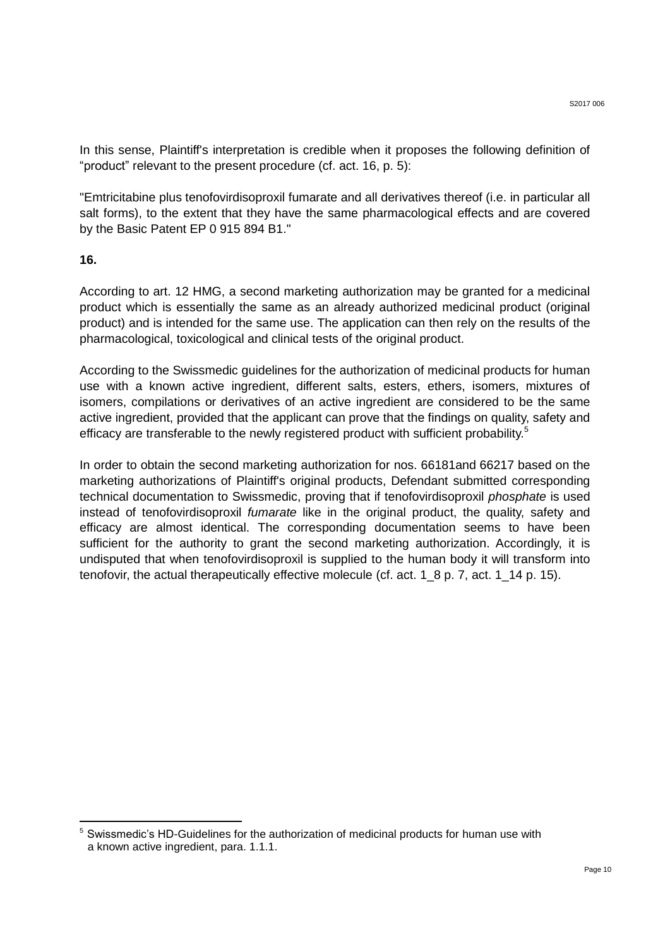In this sense, Plaintiff's interpretation is credible when it proposes the following definition of "product" relevant to the present procedure (cf. act. 16, p. 5):

"Emtricitabine plus tenofovirdisoproxil fumarate and all derivatives thereof (i.e. in particular all salt forms), to the extent that they have the same pharmacological effects and are covered by the Basic Patent EP 0 915 894 B1."

#### **16.**

1

According to art. 12 HMG, a second marketing authorization may be granted for a medicinal product which is essentially the same as an already authorized medicinal product (original product) and is intended for the same use. The application can then rely on the results of the pharmacological, toxicological and clinical tests of the original product.

According to the Swissmedic guidelines for the authorization of medicinal products for human use with a known active ingredient, different salts, esters, ethers, isomers, mixtures of isomers, compilations or derivatives of an active ingredient are considered to be the same active ingredient, provided that the applicant can prove that the findings on quality, safety and efficacy are transferable to the newly registered product with sufficient probability.<sup>5</sup>

In order to obtain the second marketing authorization for nos. 66181and 66217 based on the marketing authorizations of Plaintiff's original products, Defendant submitted corresponding technical documentation to Swissmedic, proving that if tenofovirdisoproxil *phosphate* is used instead of tenofovirdisoproxil *fumarate* like in the original product, the quality, safety and efficacy are almost identical. The corresponding documentation seems to have been sufficient for the authority to grant the second marketing authorization. Accordingly, it is undisputed that when tenofovirdisoproxil is supplied to the human body it will transform into tenofovir, the actual therapeutically effective molecule (cf. act. 1\_8 p. 7, act. 1\_14 p. 15).

<sup>&</sup>lt;sup>5</sup> Swissmedic's HD-Guidelines for the authorization of medicinal products for human use with a known active ingredient, para. 1.1.1.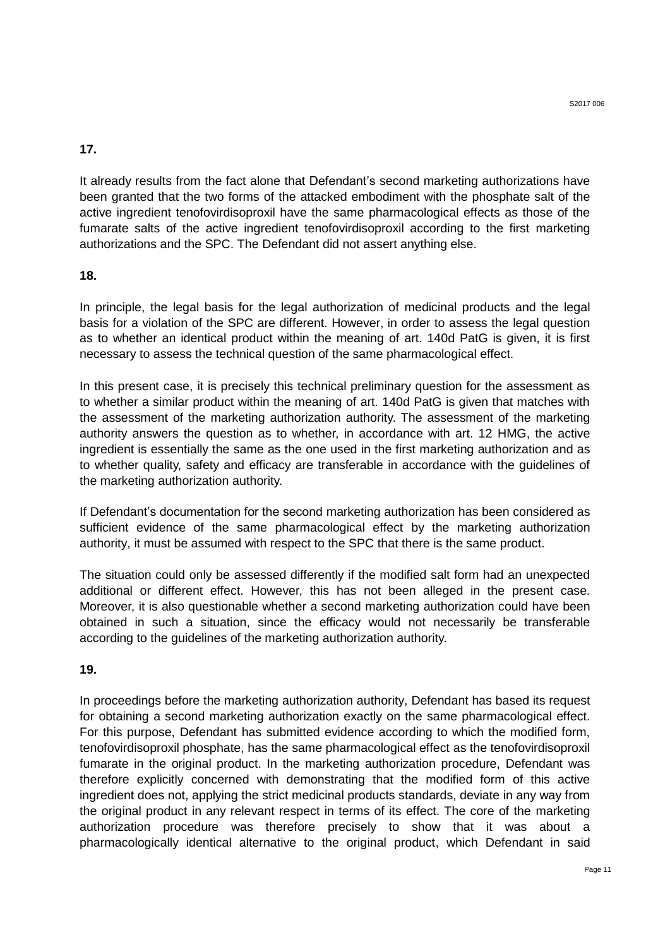It already results from the fact alone that Defendant's second marketing authorizations have been granted that the two forms of the attacked embodiment with the phosphate salt of the active ingredient tenofovirdisoproxil have the same pharmacological effects as those of the fumarate salts of the active ingredient tenofovirdisoproxil according to the first marketing authorizations and the SPC. The Defendant did not assert anything else.

# **18.**

In principle, the legal basis for the legal authorization of medicinal products and the legal basis for a violation of the SPC are different. However, in order to assess the legal question as to whether an identical product within the meaning of art. 140d PatG is given, it is first necessary to assess the technical question of the same pharmacological effect.

In this present case, it is precisely this technical preliminary question for the assessment as to whether a similar product within the meaning of art. 140d PatG is given that matches with the assessment of the marketing authorization authority. The assessment of the marketing authority answers the question as to whether, in accordance with art. 12 HMG, the active ingredient is essentially the same as the one used in the first marketing authorization and as to whether quality, safety and efficacy are transferable in accordance with the guidelines of the marketing authorization authority.

If Defendant's documentation for the second marketing authorization has been considered as sufficient evidence of the same pharmacological effect by the marketing authorization authority, it must be assumed with respect to the SPC that there is the same product.

The situation could only be assessed differently if the modified salt form had an unexpected additional or different effect. However, this has not been alleged in the present case. Moreover, it is also questionable whether a second marketing authorization could have been obtained in such a situation, since the efficacy would not necessarily be transferable according to the guidelines of the marketing authorization authority.

## **19.**

In proceedings before the marketing authorization authority, Defendant has based its request for obtaining a second marketing authorization exactly on the same pharmacological effect. For this purpose, Defendant has submitted evidence according to which the modified form, tenofovirdisoproxil phosphate, has the same pharmacological effect as the tenofovirdisoproxil fumarate in the original product. In the marketing authorization procedure, Defendant was therefore explicitly concerned with demonstrating that the modified form of this active ingredient does not, applying the strict medicinal products standards, deviate in any way from the original product in any relevant respect in terms of its effect. The core of the marketing authorization procedure was therefore precisely to show that it was about a pharmacologically identical alternative to the original product, which Defendant in said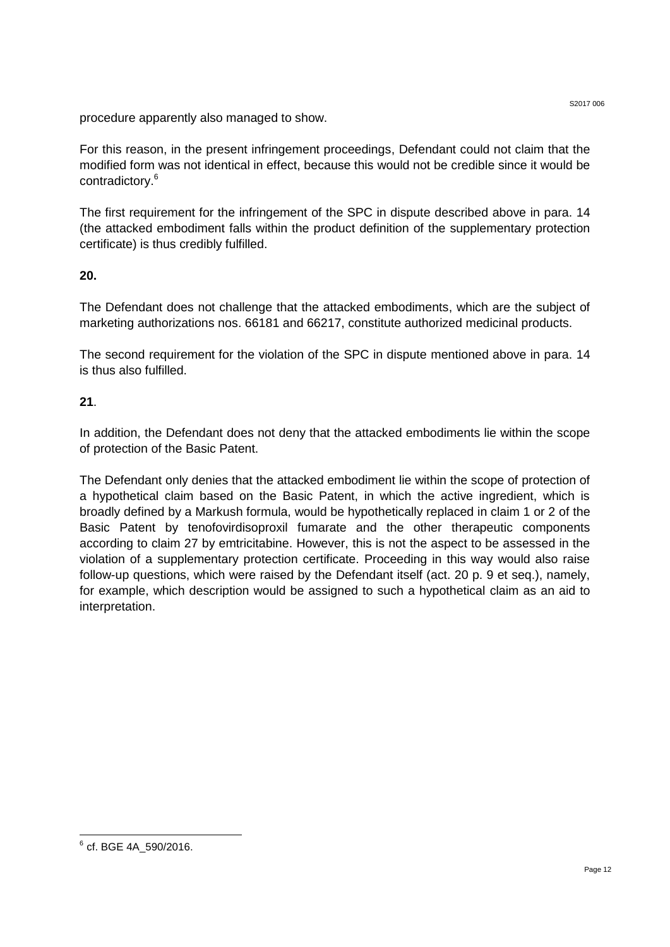procedure apparently also managed to show.

For this reason, in the present infringement proceedings, Defendant could not claim that the modified form was not identical in effect, because this would not be credible since it would be contradictory. 6

The first requirement for the infringement of the SPC in dispute described above in para. 14 (the attacked embodiment falls within the product definition of the supplementary protection certificate) is thus credibly fulfilled.

#### **20.**

The Defendant does not challenge that the attacked embodiments, which are the subject of marketing authorizations nos. 66181 and 66217, constitute authorized medicinal products.

The second requirement for the violation of the SPC in dispute mentioned above in para. 14 is thus also fulfilled.

## **21**.

In addition, the Defendant does not deny that the attacked embodiments lie within the scope of protection of the Basic Patent.

The Defendant only denies that the attacked embodiment lie within the scope of protection of a hypothetical claim based on the Basic Patent, in which the active ingredient, which is broadly defined by a Markush formula, would be hypothetically replaced in claim 1 or 2 of the Basic Patent by tenofovirdisoproxil fumarate and the other therapeutic components according to claim 27 by emtricitabine. However, this is not the aspect to be assessed in the violation of a supplementary protection certificate. Proceeding in this way would also raise follow-up questions, which were raised by the Defendant itself (act. 20 p. 9 et seq.), namely, for example, which description would be assigned to such a hypothetical claim as an aid to interpretation.

 6 cf. BGE 4A\_590/2016.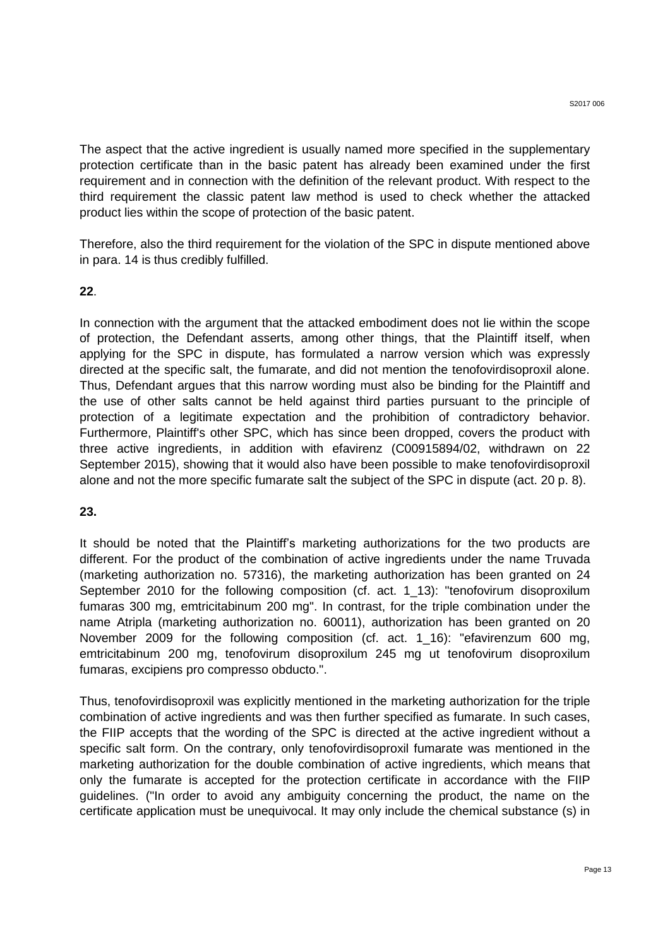The aspect that the active ingredient is usually named more specified in the supplementary protection certificate than in the basic patent has already been examined under the first requirement and in connection with the definition of the relevant product. With respect to the third requirement the classic patent law method is used to check whether the attacked product lies within the scope of protection of the basic patent.

Therefore, also the third requirement for the violation of the SPC in dispute mentioned above in para. 14 is thus credibly fulfilled.

#### **22**.

In connection with the argument that the attacked embodiment does not lie within the scope of protection, the Defendant asserts, among other things, that the Plaintiff itself, when applying for the SPC in dispute, has formulated a narrow version which was expressly directed at the specific salt, the fumarate, and did not mention the tenofovirdisoproxil alone. Thus, Defendant argues that this narrow wording must also be binding for the Plaintiff and the use of other salts cannot be held against third parties pursuant to the principle of protection of a legitimate expectation and the prohibition of contradictory behavior. Furthermore, Plaintiff's other SPC, which has since been dropped, covers the product with three active ingredients, in addition with efavirenz (C00915894/02, withdrawn on 22 September 2015), showing that it would also have been possible to make tenofovirdisoproxil alone and not the more specific fumarate salt the subject of the SPC in dispute (act. 20 p. 8).

#### **23.**

It should be noted that the Plaintiff's marketing authorizations for the two products are different. For the product of the combination of active ingredients under the name Truvada (marketing authorization no. 57316), the marketing authorization has been granted on 24 September 2010 for the following composition (cf. act. 1\_13): "tenofovirum disoproxilum fumaras 300 mg, emtricitabinum 200 mg". In contrast, for the triple combination under the name Atripla (marketing authorization no. 60011), authorization has been granted on 20 November 2009 for the following composition (cf. act. 1\_16): "efavirenzum 600 mg, emtricitabinum 200 mg, tenofovirum disoproxilum 245 mg ut tenofovirum disoproxilum fumaras, excipiens pro compresso obducto.".

Thus, tenofovirdisoproxil was explicitly mentioned in the marketing authorization for the triple combination of active ingredients and was then further specified as fumarate. In such cases, the FIIP accepts that the wording of the SPC is directed at the active ingredient without a specific salt form. On the contrary, only tenofovirdisoproxil fumarate was mentioned in the marketing authorization for the double combination of active ingredients, which means that only the fumarate is accepted for the protection certificate in accordance with the FIIP guidelines. ("In order to avoid any ambiguity concerning the product, the name on the certificate application must be unequivocal. It may only include the chemical substance (s) in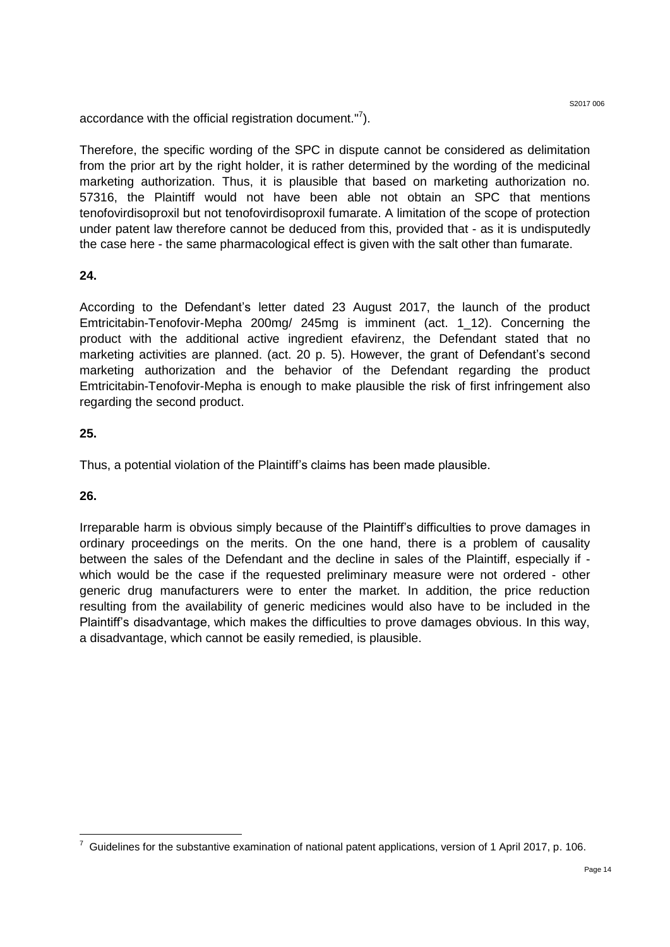accordance with the official registration document." $^7$ ).

Therefore, the specific wording of the SPC in dispute cannot be considered as delimitation from the prior art by the right holder, it is rather determined by the wording of the medicinal marketing authorization. Thus, it is plausible that based on marketing authorization no. 57316, the Plaintiff would not have been able not obtain an SPC that mentions tenofovirdisoproxil but not tenofovirdisoproxil fumarate. A limitation of the scope of protection under patent law therefore cannot be deduced from this, provided that - as it is undisputedly the case here - the same pharmacological effect is given with the salt other than fumarate.

# **24.**

According to the Defendant's letter dated 23 August 2017, the launch of the product Emtricitabin-Tenofovir-Mepha 200mg/ 245mg is imminent (act. 1\_12). Concerning the product with the additional active ingredient efavirenz, the Defendant stated that no marketing activities are planned. (act. 20 p. 5). However, the grant of Defendant's second marketing authorization and the behavior of the Defendant regarding the product Emtricitabin-Tenofovir-Mepha is enough to make plausible the risk of first infringement also regarding the second product.

# **25.**

Thus, a potential violation of the Plaintiff's claims has been made plausible.

## **26.**

1

Irreparable harm is obvious simply because of the Plaintiff's difficulties to prove damages in ordinary proceedings on the merits. On the one hand, there is a problem of causality between the sales of the Defendant and the decline in sales of the Plaintiff, especially if which would be the case if the requested preliminary measure were not ordered - other generic drug manufacturers were to enter the market. In addition, the price reduction resulting from the availability of generic medicines would also have to be included in the Plaintiff's disadvantage, which makes the difficulties to prove damages obvious. In this way, a disadvantage, which cannot be easily remedied, is plausible.

 $7$  Guidelines for the substantive examination of national patent applications, version of 1 April 2017, p. 106.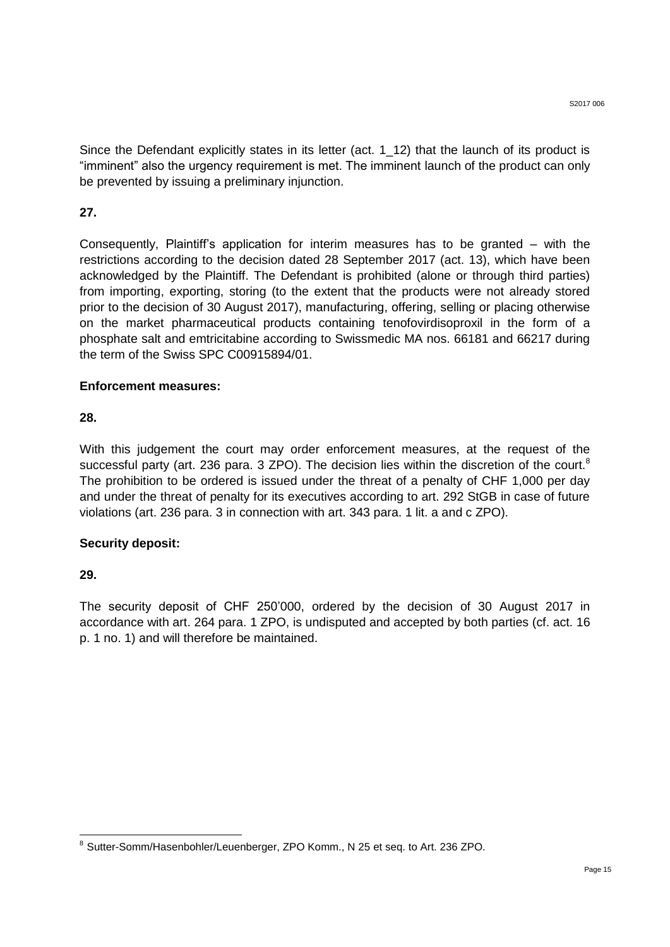Since the Defendant explicitly states in its letter (act. 1\_12) that the launch of its product is "imminent" also the urgency requirement is met. The imminent launch of the product can only be prevented by issuing a preliminary injunction.

#### **27.**

Consequently, Plaintiff's application for interim measures has to be granted – with the restrictions according to the decision dated 28 September 2017 (act. 13), which have been acknowledged by the Plaintiff. The Defendant is prohibited (alone or through third parties) from importing, exporting, storing (to the extent that the products were not already stored prior to the decision of 30 August 2017), manufacturing, offering, selling or placing otherwise on the market pharmaceutical products containing tenofovirdisoproxil in the form of a phosphate salt and emtricitabine according to Swissmedic MA nos. 66181 and 66217 during the term of the Swiss SPC C00915894/01.

#### **Enforcement measures:**

#### **28.**

With this judgement the court may order enforcement measures, at the request of the successful party (art. 236 para. 3 ZPO). The decision lies within the discretion of the court.<sup>8</sup> The prohibition to be ordered is issued under the threat of a penalty of CHF 1,000 per day and under the threat of penalty for its executives according to art. 292 StGB in case of future violations (art. 236 para. 3 in connection with art. 343 para. 1 lit. a and c ZPO).

## **Security deposit:**

## **29.**

1

The security deposit of CHF 250'000, ordered by the decision of 30 August 2017 in accordance with art. 264 para. 1 ZPO, is undisputed and accepted by both parties (cf. act. 16 p. 1 no. 1) and will therefore be maintained.

<sup>8</sup> Sutter-Somm/Hasenbohler/Leuenberger, ZPO Komm., N 25 et seq. to Art. 236 ZPO.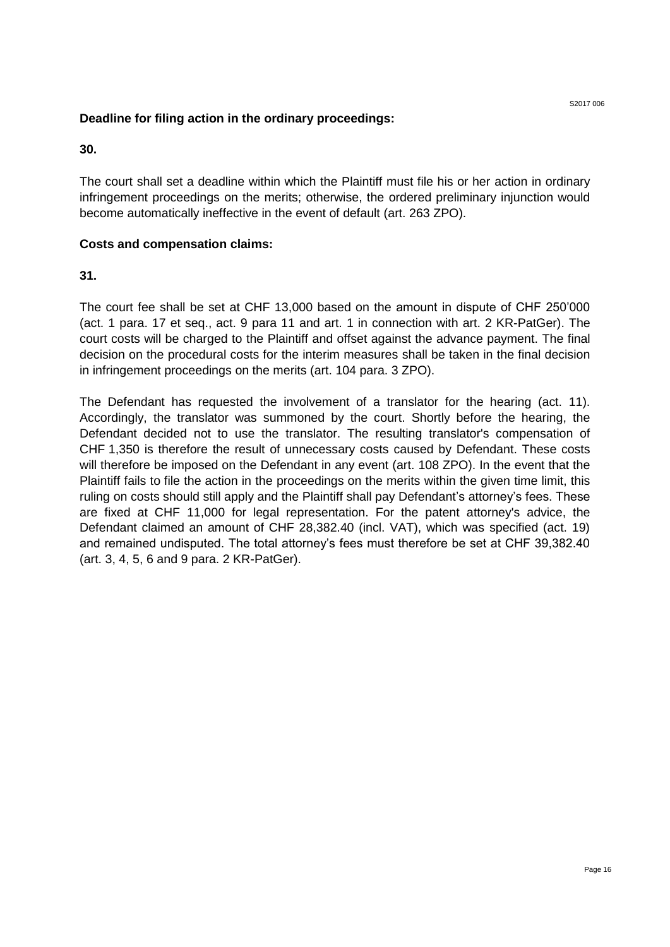# **Deadline for filing action in the ordinary proceedings:**

**30.**

The court shall set a deadline within which the Plaintiff must file his or her action in ordinary infringement proceedings on the merits; otherwise, the ordered preliminary injunction would become automatically ineffective in the event of default (art. 263 ZPO).

## **Costs and compensation claims:**

#### **31.**

The court fee shall be set at CHF 13,000 based on the amount in dispute of CHF 250'000 (act. 1 para. 17 et seq., act. 9 para 11 and art. 1 in connection with art. 2 KR-PatGer). The court costs will be charged to the Plaintiff and offset against the advance payment. The final decision on the procedural costs for the interim measures shall be taken in the final decision in infringement proceedings on the merits (art. 104 para. 3 ZPO).

The Defendant has requested the involvement of a translator for the hearing (act. 11). Accordingly, the translator was summoned by the court. Shortly before the hearing, the Defendant decided not to use the translator. The resulting translator's compensation of CHF 1,350 is therefore the result of unnecessary costs caused by Defendant. These costs will therefore be imposed on the Defendant in any event (art. 108 ZPO). In the event that the Plaintiff fails to file the action in the proceedings on the merits within the given time limit, this ruling on costs should still apply and the Plaintiff shall pay Defendant's attorney's fees. These are fixed at CHF 11,000 for legal representation. For the patent attorney's advice, the Defendant claimed an amount of CHF 28,382.40 (incl. VAT), which was specified (act. 19) and remained undisputed. The total attorney's fees must therefore be set at CHF 39,382.40 (art. 3, 4, 5, 6 and 9 para. 2 KR-PatGer).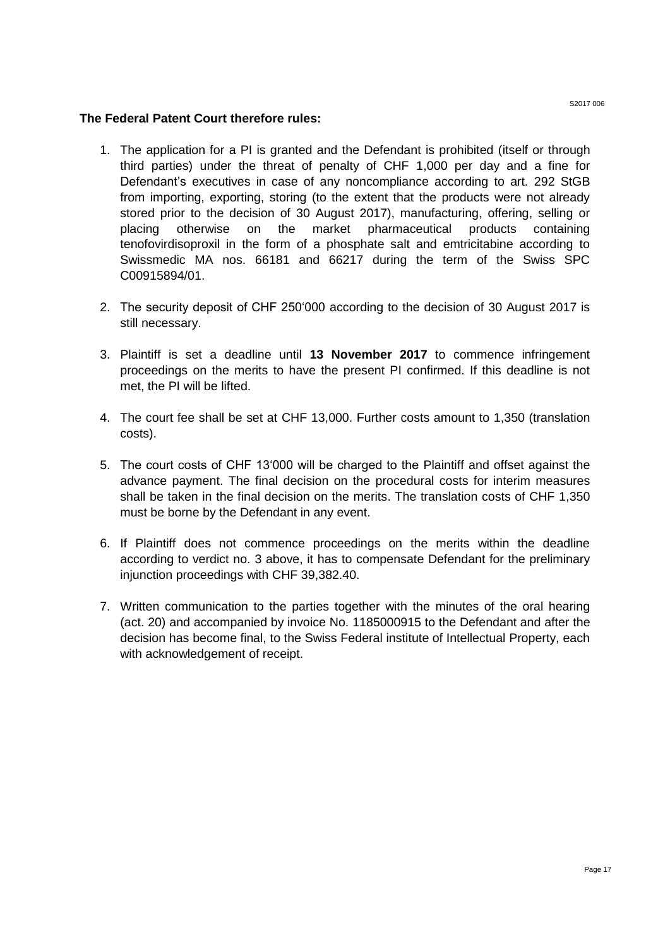#### **The Federal Patent Court therefore rules:**

- 1. The application for a PI is granted and the Defendant is prohibited (itself or through third parties) under the threat of penalty of CHF 1,000 per day and a fine for Defendant's executives in case of any noncompliance according to art. 292 StGB from importing, exporting, storing (to the extent that the products were not already stored prior to the decision of 30 August 2017), manufacturing, offering, selling or placing otherwise on the market pharmaceutical products containing tenofovirdisoproxil in the form of a phosphate salt and emtricitabine according to Swissmedic MA nos. 66181 and 66217 during the term of the Swiss SPC C00915894/01.
- 2. The security deposit of CHF 250'000 according to the decision of 30 August 2017 is still necessary.
- 3. Plaintiff is set a deadline until **13 November 2017** to commence infringement proceedings on the merits to have the present PI confirmed. If this deadline is not met, the PI will be lifted.
- 4. The court fee shall be set at CHF 13,000. Further costs amount to 1,350 (translation costs).
- 5. The court costs of CHF 13'000 will be charged to the Plaintiff and offset against the advance payment. The final decision on the procedural costs for interim measures shall be taken in the final decision on the merits. The translation costs of CHF 1,350 must be borne by the Defendant in any event.
- 6. If Plaintiff does not commence proceedings on the merits within the deadline according to verdict no. 3 above, it has to compensate Defendant for the preliminary injunction proceedings with CHF 39,382.40.
- 7. Written communication to the parties together with the minutes of the oral hearing (act. 20) and accompanied by invoice No. 1185000915 to the Defendant and after the decision has become final, to the Swiss Federal institute of Intellectual Property, each with acknowledgement of receipt.